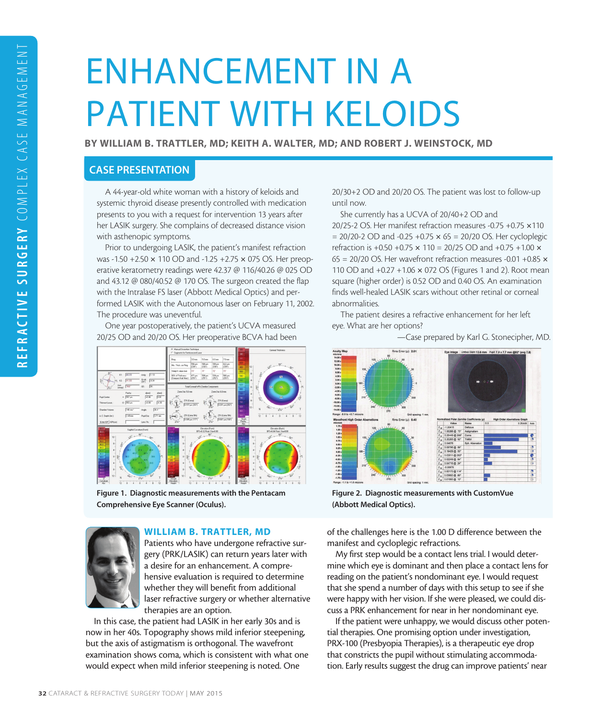# ENHANCEMENT IN A PATIENT WITH KELOIDS

BY WILLIAM B. TRATTLER, MD; KEITH A. WALTER, MD; AND ROBERT J. WEINSTOCK, MD

## CASE PRESENTATION

A 44-year-old white woman with a history of keloids and systemic thyroid disease presently controlled with medication presents to you with a request for intervention 13 years after her LASIK surgery. She complains of decreased distance vision with asthenopic symptoms.

Prior to undergoing LASIK, the patient's manifest refraction was -1.50 +2.50 × 110 OD and -1.25 +2.75 × 075 OS. Her preoperative keratometry readings were 42.37 @ 116/40.26 @ 025 OD and 43.12 @ 080/40.52 @ 170 OS. The surgeon created the flap with the Intralase FS laser (Abbott Medical Optics) and performed LASIK with the Autonomous laser on February 11, 2002. The procedure was uneventful.

One year postoperatively, the patient's UCVA measured 20/25 OD and 20/20 OS. Her preoperative BCVA had been



Figure 1. Diagnostic measurements with the Pentacam Comprehensive Eye Scanner (Oculus).



#### WILLIAM B. TRATTLER, MD

Patients who have undergone refractive surgery (PRK/LASIK) can return years later with a desire for an enhancement. A comprehensive evaluation is required to determine whether they will benefit from additional laser refractive surgery or whether alternative therapies are an option.

In this case, the patient had LASIK in her early 30s and is now in her 40s. Topography shows mild inferior steepening, but the axis of astigmatism is orthogonal. The wavefront examination shows coma, which is consistent with what one would expect when mild inferior steepening is noted. One

20/30+2 OD and 20/20 OS. The patient was lost to follow-up until now.

She currently has a UCVA of 20/40+2 OD and 20/25-2 OS. Her manifest refraction measures -0.75 +0.75 ×110  $= 20/20-2$  OD and  $-0.25 +0.75 \times 65 = 20/20$  OS. Her cycloplegic refraction is +0.50 +0.75 × 110 = 20/25 OD and +0.75 +1.00 ×  $65 = 20/20$  OS. Her wavefront refraction measures -0.01 +0.85  $\times$ 110 OD and +0.27 +1.06 × 072 OS (Figures 1 and 2). Root mean square (higher order) is 0.52 OD and 0.40 OS. An examination finds well-healed LASIK scars without other retinal or corneal abnormalities.

The patient desires a refractive enhancement for her left eye. What are her options?



—Case prepared by Karl G. Stonecipher, MD.

Figure 2. Diagnostic measurements with CustomVue (Abbott Medical Optics).

of the challenges here is the 1.00 D difference between the manifest and cycloplegic refractions.

My first step would be a contact lens trial. I would determine which eye is dominant and then place a contact lens for reading on the patient's nondominant eye. I would request that she spend a number of days with this setup to see if she were happy with her vision. If she were pleased, we could discuss a PRK enhancement for near in her nondominant eye.

If the patient were unhappy, we would discuss other potential therapies. One promising option under investigation, PRX-100 (Presbyopia Therapies), is a therapeutic eye drop that constricts the pupil without stimulating accommodation. Early results suggest the drug can improve patients' near